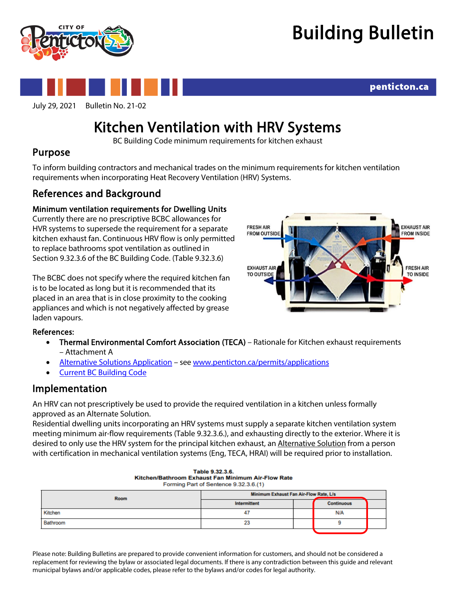



# July 29, 2021 Bulletin No. 21-02

penticton.ca

## Kitchen Ventilation with HRV Systems<br>BC Building Code minimum requirements for kitchen exhaust

## Purpose

To inform building contractors and mechanical trades on the minimum requirements for kitchen ventilation requirements when incorporating Heat Recovery Ventilation (HRV) Systems.

## References and Background

## Minimum ventilation requirements for Dwelling Units

Currently there are no prescriptive BCBC allowances for HVR systems to supersede the requirement for a separate kitchen exhaust fan. Continuous HRV flow is only permitted to replace bathrooms spot ventilation as outlined in Section 9.32.3.6 of the BC Building Code. (Table 9.32.3.6)

The BCBC does not specify where the required kitchen fan is to be located as long but it is recommended that its placed in an area that is in close proximity to the cooking appliances and which is not negatively affected by grease laden vapours.



### References:

- Thermal Environmental Comfort Association (TECA) Rationale for Kitchen exhaust requirements – Attachment A
- [Alternative Solutions Application](https://www.penticton.ca/sites/default/files/images/business-and-building/building-permit-applications/Alternative%20Solution%20Pkg.pdf) se[e www.penticton.ca/permits/applications](http://www.penticton.ca/permits/applications)
- **[Current BC Building Code](https://free.bcpublications.ca/civix/content/public/bcbc2018/?xsl=/templates/browse.xsl&xsl=/templates/browse.xsl)**

## Implementation

An HRV can not prescriptively be used to provide the required ventilation in a kitchen unless formally approved as an Alternate Solution.

Residential dwelling units incorporating an HRV systems must supply a separate kitchen ventilation system meeting minimum air-flow requirements (Table 9.32.3.6.), and exhausting directly to the exterior. Where it is desired to only use the HRV system for the principal kitchen exhaust, an Alternative Solution from a person with certification in mechanical ventilation systems (Eng, TECA, HRAI) will be required prior to installation.

| Forming Part of Sentence 9.32.3.6.(1) |                                        |  |                   |  |
|---------------------------------------|----------------------------------------|--|-------------------|--|
| Room                                  | Minimum Exhaust Fan Air-Flow Rate, L/s |  |                   |  |
|                                       | Intermittent                           |  | <b>Continuous</b> |  |
| Kitchen                               | 4                                      |  | N/A               |  |
| Bathroom                              | 23                                     |  |                   |  |

Table 9.32.3.6. Kitchen/Bathroom Exhaust Fan Minimum Air-Flow Rate

Please note: Building Bulletins are prepared to provide convenient information for customers, and should not be considered a replacement for reviewing the bylaw or associated legal documents. If there is any contradiction between this guide and relevant municipal bylaws and/or applicable codes, please refer to the bylaws and/or codes for legal authority.